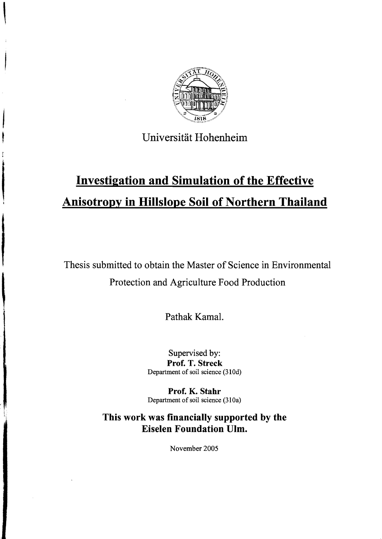

Universität Hohenheim f

## Investigation and Simulation of the Effective<br>Anisotropy in Hillslope Soil of Northern Thailand

Thesis submitted to obtain the Master of Science in Environmental Protection and Agriculture Food Production

Pathak Kamal.

Supervised by: Prof. T. Streck Department of soil science (310d)

Prof. K. Stahr Department of soil science (310a)

This work was financially supported by the Eiselen Foundation Ulm.

November 2005